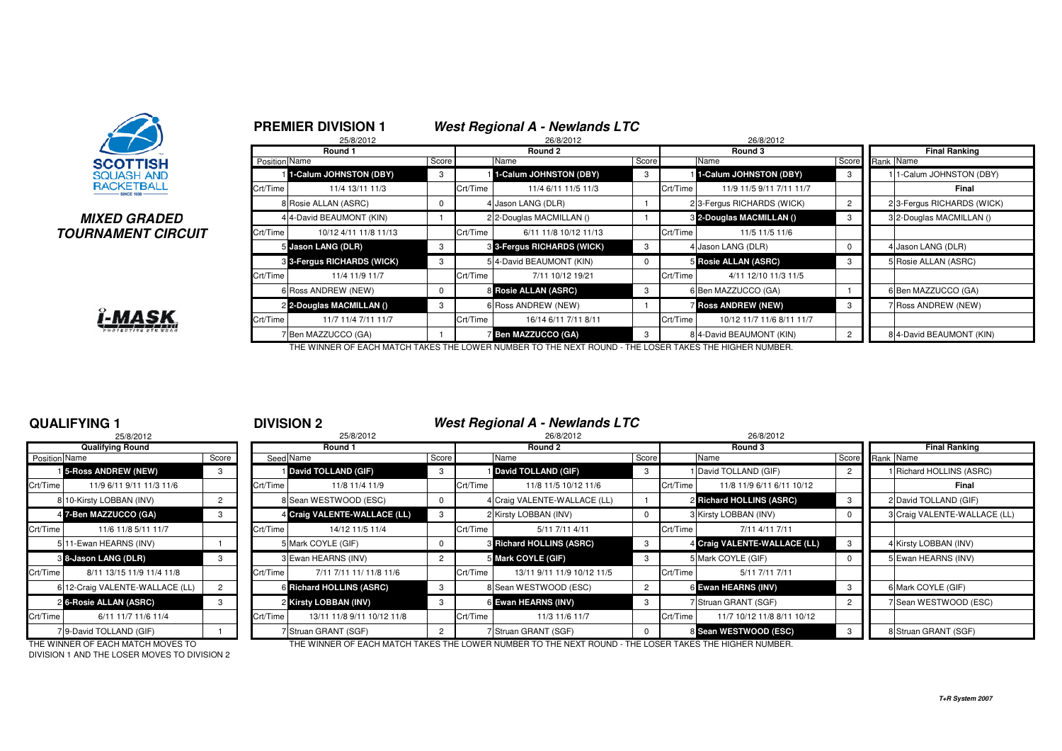

### **MIXED GRADEDTOURNAMENT CIRCUIT**



|          | <b>PREMIER DIVISION 1</b>  |       |          | <b>West Regional A - Newlands LTC</b> |       |          |                            |                |                      |                            |
|----------|----------------------------|-------|----------|---------------------------------------|-------|----------|----------------------------|----------------|----------------------|----------------------------|
|          | 25/8/2012<br>Round 1       |       |          | 26/8/2012<br>Round 2                  |       |          | 26/8/2012<br>Round 3       |                | <b>Final Ranking</b> |                            |
|          | Position Name              | Score |          | Name                                  | Score |          | Name                       | Score          | Rank Name            |                            |
|          | 1-Calum JOHNSTON (DBY)     | 3     |          | 1-Calum JOHNSTON (DBY)                | 3     |          | 1-Calum JOHNSTON (DBY)     | 3              |                      | 1-Calum JOHNSTON (DBY)     |
| Crt/Time | 11/4 13/11 11/3            |       | Crt/Time | 11/4 6/11 11/5 11/3                   |       | Crt/Time | 11/9 11/5 9/11 7/11 11/7   |                |                      | Final                      |
|          | 8 Rosie ALLAN (ASRC)       | 0     |          | Jason LANG (DLR)                      |       |          | 2 3-Fergus RICHARDS (WICK) | $\overline{c}$ |                      | 2 3-Fergus RICHARDS (WICK) |
|          | 4 4-David BEAUMONT (KIN)   |       |          | 2 2-Douglas MACMILLAN ()              |       |          | 3 2-Douglas MACMILLAN ()   | 3              |                      | 3 2-Douglas MACMILLAN ()   |
| Crt/Time | 10/12 4/11 11/8 11/13      |       | Crt/Time | 6/11 11/8 10/12 11/13                 |       | Crt/Time | 11/5 11/5 11/6             |                |                      |                            |
|          | 5 Jason LANG (DLR)         | 3     |          | 3 3-Fergus RICHARDS (WICK)            | 3     |          | 4 Jason LANG (DLR)         | 0              |                      | 4 Jason LANG (DLR)         |
|          | 3 3-Fergus RICHARDS (WICK) | 3     |          | 5 4-David BEAUMONT (KIN)              | 0     |          | 5 Rosie ALLAN (ASRC)       | 3              |                      | 5 Rosie ALLAN (ASRC)       |
| Crt/Time | 11/4 11/9 11/7             |       | Crt/Time | 7/11 10/12 19/21                      |       | Crt/Time | 4/11 12/10 11/3 11/5       |                |                      |                            |
|          | 6 Ross ANDREW (NEW)        | 0     |          | 8 Rosie ALLAN (ASRC)                  | 3     |          | 6 Ben MAZZUCCO (GA)        |                |                      | 6 Ben MAZZUCCO (GA)        |
|          | 2 2-Douglas MACMILLAN ()   | 3     |          | 6 Ross ANDREW (NEW)                   |       |          | <b>Ross ANDREW (NEW)</b>   | 3              |                      | 7 Ross ANDREW (NEW)        |
| Crt/Time | 11/7 11/4 7/11 11/7        |       | Crt/Time | 16/14 6/11 7/11 8/11                  |       | Crt/Time | 10/12 11/7 11/6 8/11 11/7  |                |                      |                            |
|          | / Ben MAZZUCCO (GA)        |       |          | <b>Ben MAZZUCCO (GA)</b>              | 3     |          | 8 4-David BEAUMONT (KIN)   | $\overline{2}$ |                      | 8 4-David BEAUMONT (KIN)   |

THE WINNER OF EACH MATCH TAKES THE LOWER NUMBER TO THE NEXT ROUND - THE LOSER TAKES THE HIGHER NUMBER.

## **QUALIFYING 1**

|                      | 25/8/2012                       |       |          |
|----------------------|---------------------------------|-------|----------|
|                      | <b>Qualifying Round</b>         |       |          |
| <b>Position Name</b> |                                 | Score | Seed     |
|                      | <b>1</b> 5-Ross ANDREW (NEW)    | 3     |          |
| Crt/Time             | 11/9 6/11 9/11 11/3 11/6        |       | Crt/Time |
|                      | 8 10-Kirsty LOBBAN (INV)        | 2     | 8        |
|                      | 4 7-Ben MAZZUCCO (GA)           | 3     | 4        |
| Crt/Time             | 11/6 11/8 5/11 11/7             |       | Crt/Time |
|                      | 511-Ewan HEARNS (INV)           |       | 5        |
|                      | 88-Jason LANG (DLR)             | 3     | 3        |
| Crt/Time             | 8/11 13/15 11/9 11/4 11/8       |       | Crt/Time |
|                      | 6 12-Craig VALENTE-WALLACE (LL) | 2     | 6        |
|                      | 26-Rosie ALLAN (ASRC)           | 3     | 2        |
| Crt/Time             | 6/11 11/7 11/6 11/4             |       | Crt/Time |
|                      | 7 9-David TOLLAND (GIF)         |       |          |

<sup>1</sup> **DIVISION 2 West Regional A - Newlands LTC**

| 25/8/2012                             |  |       | 25/8/2012 | 26/8/2012                    |       |          |                                 |                | 26/8/2012 |                              |       |           |                              |
|---------------------------------------|--|-------|-----------|------------------------------|-------|----------|---------------------------------|----------------|-----------|------------------------------|-------|-----------|------------------------------|
| <b>Qualifying Round</b>               |  |       |           | Round 1                      |       |          | Round 2                         |                | Round 3   |                              |       |           | <b>Final Ranking</b>         |
| Position Name                         |  | Score |           | Seed Name                    | Score |          | Name                            | Score          |           | Name                         | Score | Rank Name |                              |
| <b>1</b> 5-Ross ANDREW (NEW)          |  | 3     |           | David TOLLAND (GIF)          | 3     |          | David TOLLAND (GIF)             |                |           | 1 David TOLLAND (GIF)        |       |           | 1 Richard HOLLINS (ASRC)     |
| Crt/Time<br>11/9 6/11 9/11 11/3 11/6  |  |       | Crt/Time  | 11/8 11/4 11/9               |       | Crt/Time | 11/8 11/5 10/12 11/6            |                | Crt/Time  | 11/8 11/9 6/11 6/11 10/12    |       |           | Final                        |
| 8 10-Kirsty LOBBAN (INV)              |  |       |           | 8 Sean WESTWOOD (ESC)        |       |          | 4 Craig VALENTE-WALLACE (LL)    |                |           | 2 Richard HOLLINS (ASRC)     |       |           | 2 David TOLLAND (GIF)        |
| 4 7-Ben MAZZUCCO (GA)                 |  | 3     |           | 4 Craig VALENTE-WALLACE (LL) | 3     |          | 2 Kirsty LOBBAN (INV)           |                |           | 3 Kirsty LOBBAN (INV)        |       |           | 3 Craig VALENTE-WALLACE (LL) |
| Crt/Time<br>11/6 11/8 5/11 11/7       |  |       | Crt/Time  | 14/12 11/5 11/4              |       | Crt/Time | 5/11 7/11 4/11                  |                | Crt/Time  | 7/11 4/11 7/11               |       |           |                              |
| 5 11-Ewan HEARNS (INV)                |  |       |           | 5 Mark COYLE (GIF)           |       |          | <b>3 Richard HOLLINS (ASRC)</b> |                |           | 4 Craig VALENTE-WALLACE (LL) |       |           | 4 Kirsty LOBBAN (INV)        |
| 8 8-Jason LANG (DLR)                  |  | 3     |           | 3 Ewan HEARNS (INV)          | 2     |          | 5 Mark COYLE (GIF)              | -3             |           | 5 Mark COYLE (GIF)           |       |           | 5 Ewan HEARNS (INV)          |
| Crt/Time<br>8/11 13/15 11/9 11/4 11/8 |  |       | Crt/Time  | 7/11 7/11 11/ 11/8 11/6      |       | Crt/Time | 13/11 9/11 11/9 10/12 11/5      |                | Crt/Time  | 5/11 7/11 7/11               |       |           |                              |
| 6 12-Craig VALENTE-WALLACE (LL)       |  |       |           | 6 Richard HOLLINS (ASRC)     | -3    |          | 8 Sean WESTWOOD (ESC)           | $\overline{2}$ |           | 6 Ewan HEARNS (INV)          |       |           | 6 Mark COYLE (GIF)           |
| 2 6-Rosie ALLAN (ASRC)                |  | 3     |           | 2 Kirsty LOBBAN (INV)        | -3    |          | 6 Ewan HEARNS (INV)             |                |           | 7 Struan GRANT (SGF)         |       |           | 7 Sean WESTWOOD (ESC)        |
| Crt/Time<br>6/11 11/7 11/6 11/4       |  |       | Crt/Time  | 13/11 11/8 9/11 10/12 11/8   |       | Crt/Time | 11/3 11/6 11/7                  |                | Crt/Time  | 11/7 10/12 11/8 8/11 10/12   |       |           |                              |
| 7 9-David TOLLAND (GIF)               |  |       |           | 7 Struan GRANT (SGF)         |       |          | 7 Struan GRANT (SGF)            |                |           | 8 Sean WESTWOOD (ESC)        |       |           | 8 Struan GRANT (SGF)         |

DIVISION 1 AND THE LOSER MOVES TO DIVISION 2

THE WINNER OF EACH MATCH MOVES TO THE WINNER OF EACH MATCH TAKES THE LOWER NUMBER TO THE NEXT ROUND - THE LOSER TAKES THE HIGHER NUMBER.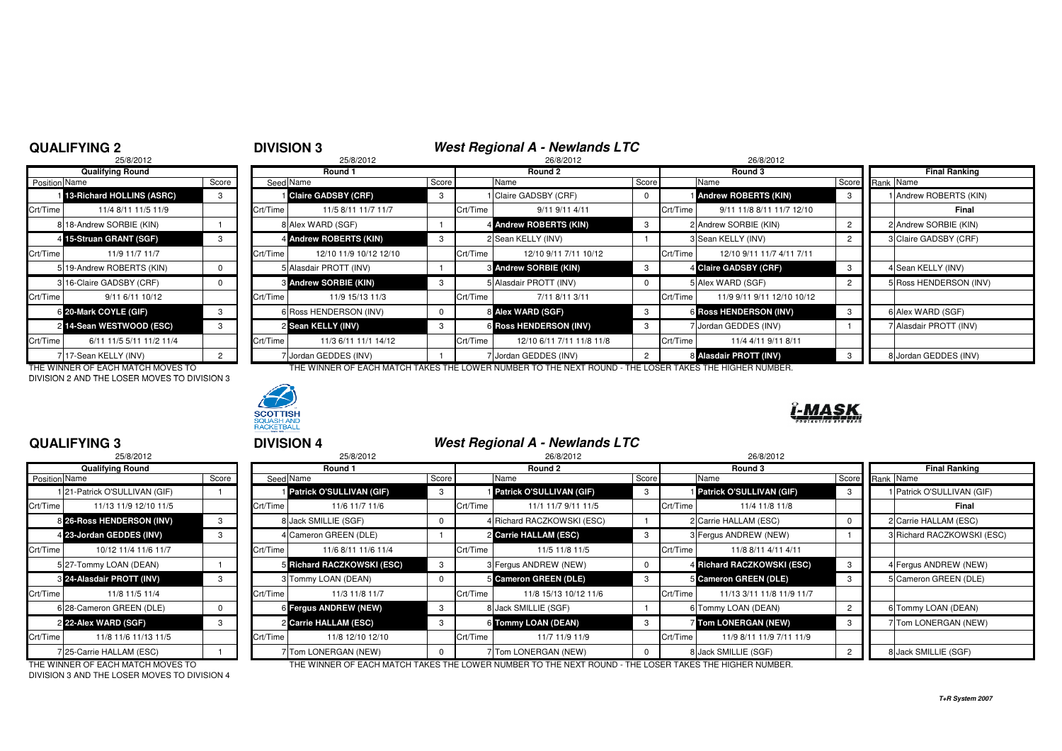## **QUALIFYING 2**

# <sup>2</sup> **DIVISION 3 West Regional A - Newlands LTC** <sup>8</sup> 25/8/2012 26/8/2012 26/8/2012

|                | 25/8/2012                 |                |          |
|----------------|---------------------------|----------------|----------|
|                | <b>Qualifying Round</b>   |                |          |
| Position Name  |                           | Score          | Seed     |
| 11             | 13-Richard HOLLINS (ASRC) | 3              |          |
| Crt/Time       | 11/4 8/11 11/5 11/9       |                | Crt/Time |
|                | 8 18-Andrew SORBIE (KIN)  |                | 8        |
| $\overline{4}$ | 15-Struan GRANT (SGF)     | 3              | 4        |
| Crt/Time       | 11/9 11/7 11/7            |                | Crt/Time |
|                | 5 19-Andrew ROBERTS (KIN) | 0              | 5        |
|                | 3 16-Claire GADSBY (CRF)  | 0              | 3        |
| Crt/Time       | 9/11 6/11 10/12           |                | Crt/Time |
|                | 6 20-Mark COYLE (GIF)     | 3              | 6        |
| $\mathsf{2}$   | 14-Sean WESTWOOD (ESC)    | 3              | 2        |
| Crt/Time       | 6/11 11/5 5/11 11/2 11/4  |                | Crt/Time |
| 7              | 17-Sean KELLY (INV)       | $\overline{2}$ |          |

DIVISION 2 AND THE LOSER MOVES TO DIVISION 3



|               | <b>Qualifying Round</b>   |       |          | Round 1                      |       |          | Round 2                          |       | Round 3  |                               | Final Ranking |                        |
|---------------|---------------------------|-------|----------|------------------------------|-------|----------|----------------------------------|-------|----------|-------------------------------|---------------|------------------------|
| Position Name |                           | Score |          | Seed Name                    | Score |          | Name                             | Score |          | Name                          |               | Score Rank Name        |
|               | 13-Richard HOLLINS (ASRC) |       |          | <b>I</b> Claire GADSBY (CRF) |       |          | 1 Claire GADSBY (CRF)            | 0     |          | <b>Andrew ROBERTS (KIN)</b>   | - 3           | 1 Andrew ROBERTS (KIN) |
| Crt/Time      | 11/4 8/11 11/5 11/9       |       | Crt/Time | 11/5 8/11 11/7 11/7          |       | Crt/Time | 9/11 9/11 4/11                   |       | Crt/Time | 9/11 11/8 8/11 11/7 12/10     |               | Final                  |
|               | 8 18-Andrew SORBIE (KIN)  |       |          | 8 Alex WARD (SGF)            |       |          | 4 Andrew ROBERTS (KIN)           | -3    |          | 2 Andrew SORBIE (KIN)         |               | 2 Andrew SORBIE (KIN)  |
|               | 4 15-Struan GRANT (SGF)   |       |          | 4 Andrew ROBERTS (KIN)       |       |          | 2 Sean KELLY (INV)               |       |          | 3 Sean KELLY (INV)            |               | 3 Claire GADSBY (CRF)  |
| Crt/Time      | 11/9 11/7 11/7            |       | Crt/Time | 12/10 11/9 10/12 12/10       |       | Crt/Time | 12/10 9/11 7/11 10/12            |       | Crt/Time | 12/10 9/11 11/7 4/11 7/11     |               |                        |
|               | 5 19-Andrew ROBERTS (KIN) |       |          | 5 Alasdair PROTT (INV)       |       |          | <b>&amp; Andrew SORBIE (KIN)</b> | -3    |          | 4 Claire GADSBY (CRF)         |               | 4 Sean KELLY (INV)     |
|               | 3 16-Claire GADSBY (CRF)  |       |          | <b>8 Andrew SORBIE (KIN)</b> | -3    |          | 5 Alasdair PROTT (INV)           | 0     |          | 5 Alex WARD (SGF)             |               | 5 Ross HENDERSON (INV) |
| Crt/Time      | 9/11 6/11 10/12           |       | Crt/Time | 11/9 15/13 11/3              |       | Crt/Time | 7/11 8/11 3/11                   |       | Crt/Time | 11/9 9/11 9/11 12/10 10/12    |               |                        |
|               | 6 20-Mark COYLE (GIF)     |       |          | 6 Ross HENDERSON (INV)       |       |          | 8 Alex WARD (SGF)                | -3    |          | <b>6 Ross HENDERSON (INV)</b> | -3            | 6 Alex WARD (SGF)      |
|               | 2 14-Sean WESTWOOD (ESC)  |       |          | 2 Sean KELLY (INV)           |       |          | <b>6 Ross HENDERSON (INV)</b>    |       |          | 7 Jordan GEDDES (INV)         |               | 7 Alasdair PROTT (INV) |
| Crt/Time      | 6/11 11/5 5/11 11/2 11/4  |       | Crt/Time | 11/3 6/11 11/1 14/12         |       | Crt/Time | 12/10 6/11 7/11 11/8 11/8        |       | Crt/Time | 11/4 4/11 9/11 8/11           |               |                        |
|               | 7 17-Sean KELLY (INV)     |       |          | 7 Jordan GEDDES (INV)        |       |          | / Jordan GEDDES (INV)            |       |          | 8 Alasdair PROTT (INV)        |               | 8 Jordan GEDDES (INV)  |

THE WINNER OF EACH MATCH MOVES TO THE THE WINNER OF EACH MATCH TAKES THE LOWER NUMBER TO THE NEXT ROUND - THE LOSER TAKES THE HIGHER NUMBER.



## **QUALIFYING 3**

|                      | 25/8/2012                     |       |          |
|----------------------|-------------------------------|-------|----------|
|                      | <b>Qualifying Round</b>       |       |          |
| <b>Position Name</b> |                               | Score | Seed     |
|                      | 1 21-Patrick O'SULLIVAN (GIF) |       |          |
| Crt/Time             | 11/13 11/9 12/10 11/5         |       | Crt/Time |
|                      | 8 26-Ross HENDERSON (INV)     | 3     | 8        |
|                      | 4 23-Jordan GEDDES (INV)      | 3     | 4        |
| Crt/Time             | 10/12 11/4 11/6 11/7          |       | Crt/Time |
|                      | 5 27-Tommy LOAN (DEAN)        |       | 5        |
|                      | 8 24-Alasdair PROTT (INV)     | 3     | 3        |
| Crt/Time             | 11/8 11/5 11/4                |       | Crt/Time |
|                      | 6 28-Cameron GREEN (DLE)      | 0     | 6        |
|                      | 2 22-Alex WARD (SGF)          | 3     | 2        |
| Crt/Time             | 11/8 11/6 11/13 11/5          |       | Crt/Time |
|                      | 7 25-Carrie HALLAM (ESC)      |       | 7        |

|               | <b>QUALIFYING 3</b>          |       |          | <b>DIVISION 4</b>               |       |          | West Regional A - Newlands LTC  |       |          |                                 |                 |                            |
|---------------|------------------------------|-------|----------|---------------------------------|-------|----------|---------------------------------|-------|----------|---------------------------------|-----------------|----------------------------|
|               | 25/8/2012                    |       |          | 25/8/2012                       |       |          | 26/8/2012                       |       |          | 26/8/2012                       |                 |                            |
|               | <b>Qualifying Round</b>      |       |          | Round 1                         |       |          | Round 2                         |       |          | Round 3                         |                 | <b>Final Ranking</b>       |
| Position Name |                              | Score |          | Seed Name                       | Score |          | Name                            | Score |          | Name                            | Score Rank Name |                            |
|               | 121-Patrick O'SULLIVAN (GIF) |       |          | <b>Patrick O'SULLIVAN (GIF)</b> | -3    |          | <b>Patrick O'SULLIVAN (GIF)</b> | 3     |          | <b>Patrick O'SULLIVAN (GIF)</b> |                 | Patrick O'SULLIVAN (GIF)   |
| Crt/Time      | 11/13 11/9 12/10 11/5        |       | Crt/Time | 11/6 11/7 11/6                  |       | Crt/Time | 11/1 11/7 9/11 11/5             |       | Crt/Time | 11/4 11/8 11/8                  |                 | Final                      |
|               | 8 26-Ross HENDERSON (INV)    | 3     |          | 8 Jack SMILLIE (SGF)            |       |          | 4 Richard RACZKOWSKI (ESC)      |       |          | 2 Carrie HALLAM (ESC)           |                 | 2 Carrie HALLAM (ESC)      |
|               | 4 23-Jordan GEDDES (INV)     |       |          | 4 Cameron GREEN (DLE)           |       |          | 2 Carrie HALLAM (ESC)           |       |          | 3 Fergus ANDREW (NEW)           |                 | 3 Richard RACZKOWSKI (ESC) |
| Crt/Time I    | 10/12 11/4 11/6 11/7         |       | Crt/Time | 11/6 8/11 11/6 11/4             |       | Crt/Time | 11/5 11/8 11/5                  |       | Crt/Time | 11/8 8/11 4/11 4/11             |                 |                            |
|               | 5 27-Tommy LOAN (DEAN)       |       |          | 5 Richard RACZKOWSKI (ESC)      | -3    |          | 3 Fergus ANDREW (NEW)           |       |          | 4 Richard RACZKOWSKI (ESC)      |                 | 4 Fergus ANDREW (NEW)      |
|               | 3 24-Alasdair PROTT (INV)    |       |          | 3 Tommy LOAN (DEAN)             |       |          | <b>5 Cameron GREEN (DLE)</b>    |       |          | 5 Cameron GREEN (DLE)           |                 | 5 Cameron GREEN (DLE)      |
| Crt/Time      | 11/8 11/5 11/4               |       | Crt/Time | 11/3 11/8 11/7                  |       | Crt/Time | 11/8 15/13 10/12 11/6           |       | Crt/Time | 11/13 3/11 11/8 11/9 11/7       |                 |                            |
|               | 6 28-Cameron GREEN (DLE)     |       |          | 6 Fergus ANDREW (NEW)           | 3     |          | 8 Jack SMILLIE (SGF)            |       |          | 6 Tommy LOAN (DEAN)             |                 | 6 Tommy LOAN (DEAN)        |
|               | 2 22-Alex WARD (SGF)         |       |          | 2 Carrie HALLAM (ESC)           |       |          | 6 Tommy LOAN (DEAN)             |       |          | <b>7 Tom LONERGAN (NEW)</b>     |                 | 7 Tom LONERGAN (NEW)       |
| Crt/Time      | 11/8 11/6 11/13 11/5         |       | Crt/Time | 11/8 12/10 12/10                |       | Crt/Time | 11/7 11/9 11/9                  |       | Crt/Time | 11/9 8/11 11/9 7/11 11/9        |                 |                            |
|               | 725-Carrie HALLAM (ESC)      |       |          | Tom LONERGAN (NEW)              |       |          | 7 Tom LONERGAN (NEW)            |       |          | 8 Jack SMILLIE (SGF)            |                 | 8 Jack SMILLIE (SGF)       |

DIVISION 3 AND THE LOSER MOVES TO DIVISION 4

THE WINNER OF EACH MATCH MOVES TO THE WINNER OF EACH MATCH TAKES THE LOWER NUMBER TO THE NEXT ROUND - THE LOSER TAKES THE HIGHER NUMBER.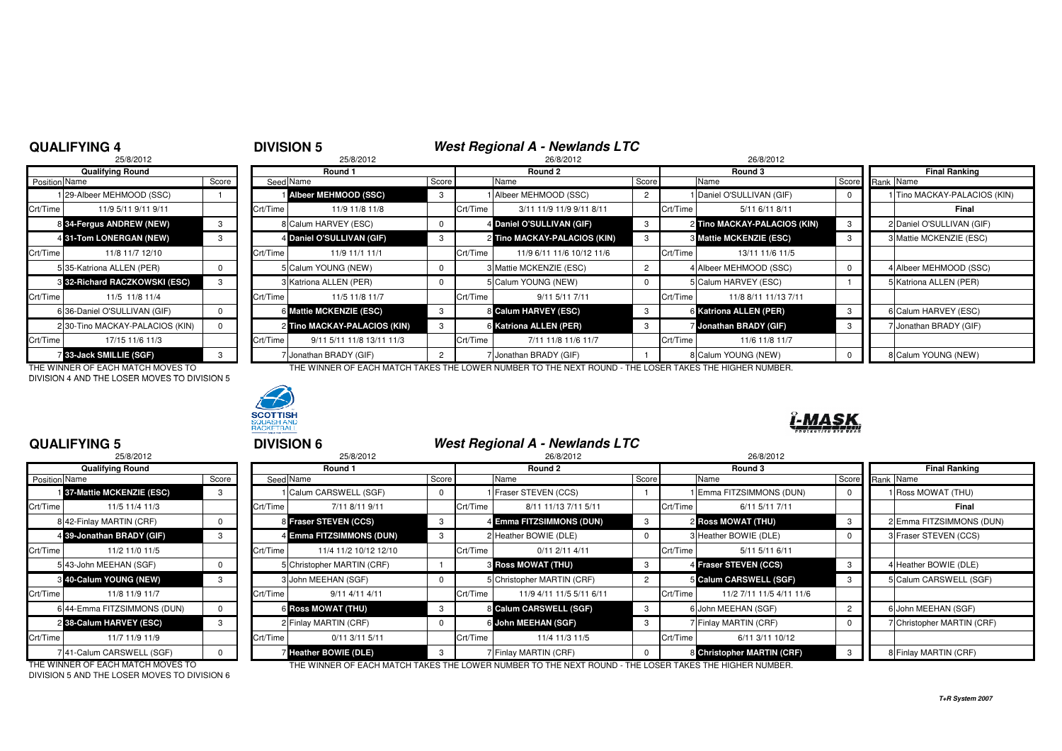## **QUALIFYING 4**

# **4 DIVISION 5** *West Regional A - Newlands LTC* **25/8/2012 26/8/2012 26/8/2012 26/8/2012 26/8/2012**

|                      | 25/8/2012                       |       |          |
|----------------------|---------------------------------|-------|----------|
|                      | <b>Qualifying Round</b>         |       |          |
| <b>Position Name</b> |                                 | Score | Seed     |
|                      | 29-Albeer MEHMOOD (SSC)         |       |          |
| Crt/Time             | 11/9 5/11 9/11 9/11             |       | Crt/Time |
|                      | 8 34-Fergus ANDREW (NEW)        | 3     | 8        |
|                      | 4 31-Tom LONERGAN (NEW)         | 3     | 4        |
| Crt/Time             | 11/8 11/7 12/10                 |       | Crt/Time |
|                      | 5135-Katriona ALLEN (PER)       | 0     | 5        |
|                      | 8 32-Richard RACZKOWSKI (ESC)   | 3     | 3        |
| Crt/Time             | 11/5 11/8 11/4                  |       | Crt/Time |
|                      | 6 36-Daniel O'SULLIVAN (GIF)    | 0     | 6        |
|                      | 2 30-Tino MACKAY-PALACIOS (KIN) | 0     | 2        |
| Crt/Time             | 17/15 11/6 11/3                 |       | Crt/Time |
|                      | 7 33-Jack SMILLIE (SGF)         | 3     |          |

DIVISION 4 AND THE LOSER MOVES TO DIVISION 5



|               | <b>Qualifying Round</b>         |       |          | Round 1                       |       |          | Round 2                      |       |          | Round 3                        |     | <b>Final Ranking</b>         |
|---------------|---------------------------------|-------|----------|-------------------------------|-------|----------|------------------------------|-------|----------|--------------------------------|-----|------------------------------|
| Position Name |                                 | Score |          | Seed Name                     | Score |          | Name                         | Score |          | Name                           |     | Score Rank Name              |
|               | 129-Albeer MEHMOOD (SSC)        |       |          | <b>i Albeer MEHMOOD (SSC)</b> | -3    |          | 1 Albeer MEHMOOD (SSC)       |       |          | Daniel O'SULLIVAN (GIF)        |     | 1 Tino MACKAY-PALACIOS (KIN) |
| Crt/Time      | 11/9 5/11 9/11 9/11             |       | Crt/Time | 11/9 11/8 11/8                |       | Crt/Time | 3/11 11/9 11/9 9/11 8/11     |       | Crt/Time | 5/11 6/11 8/11                 |     | Final                        |
|               | 8 34-Fergus ANDREW (NEW)        |       |          | 8 Calum HARVEY (ESC)          |       |          | 4 Daniel O'SULLIVAN (GIF)    |       |          | 2 Tino MACKAY-PALACIOS (KIN)   |     | 2 Daniel O'SULLIVAN (GIF)    |
|               | 4 31-Tom LONERGAN (NEW)         |       |          | 4 Daniel O'SULLIVAN (GIF)     | -3    |          | 2 Tino MACKAY-PALACIOS (KIN) |       |          | <b>8 Mattie MCKENZIE (ESC)</b> | -3  | 3 Mattie MCKENZIE (ESC)      |
| Crt/Time      | 11/8 11/7 12/10                 |       | Crt/Time | 11/9 11/1 11/1                |       | Crt/Time | 11/9 6/11 11/6 10/12 11/6    |       | Crt/Time | 13/11 11/6 11/5                |     |                              |
|               | 535-Katriona ALLEN (PER)        |       |          | 5 Calum YOUNG (NEW)           |       |          | 3 Mattie MCKENZIE (ESC)      |       |          | 4 Albeer MEHMOOD (SSC)         |     | 4 Albeer MEHMOOD (SSC)       |
|               | 3 32-Richard RACZKOWSKI (ESC)   |       |          | 3 Katriona ALLEN (PER)        |       |          | 5 Calum YOUNG (NEW)          |       |          | 5 Calum HARVEY (ESC)           |     | 5 Katriona ALLEN (PER)       |
| Crt/Time      | 11/5 11/8 11/4                  |       | Crt/Time | 11/5 11/8 11/7                |       | Crt/Time | 9/11 5/11 7/11               |       | Crt/Time | 11/8 8/11 11/13 7/11           |     |                              |
|               | 6 36-Daniel O'SULLIVAN (GIF)    |       |          | 6 Mattie MCKENZIE (ESC)       | -3    |          | 8 Calum HARVEY (ESC)         | -3    |          | 6 Katriona ALLEN (PER)         | - 3 | 6 Calum HARVEY (ESC)         |
|               | 2 30-Tino MACKAY-PALACIOS (KIN) |       |          | 2 Tino MACKAY-PALACIOS (KIN)  | -3    |          | 6 Katriona ALLEN (PER)       |       |          | 7 Jonathan BRADY (GIF)         |     | 7 Jonathan BRADY (GIF)       |
| Crt/Time      | 17/15 11/6 11/3                 |       | Crt/Time | 9/11 5/11 11/8 13/11 11/3     |       | Crt/Time | 7/11 11/8 11/6 11/7          |       | Crt/Time | 11/6 11/8 11/7                 |     |                              |
|               | <b>7 33-Jack SMILLIE (SGF)</b>  |       |          | 7 Jonathan BRADY (GIF)        |       |          | 7 Jonathan BRADY (GIF)       |       |          | 8 Calum YOUNG (NEW)            |     | 8 Calum YOUNG (NEW)          |

THE WINNER OF EACH MATCH MOVES TO THE WINNER OF EACH MATCH TAKES THE LOWER NUMBER TO THE NEXT ROUND - THE LOSER TAKES THE HIGHER NUMBER.



## **QUALIFYING 5**

|                      | 25/8/2012                        |          |          |
|----------------------|----------------------------------|----------|----------|
|                      | <b>Qualifying Round</b>          |          |          |
| <b>Position Name</b> |                                  | Score    | Seed     |
|                      | <b>137-Mattie MCKENZIE (ESC)</b> | 3        |          |
| Crt/Time             | 11/5 11/4 11/3                   |          | Crt/Time |
|                      | 8 42-Finlay MARTIN (CRF)         | 0        | 8        |
|                      | 4 39-Jonathan BRADY (GIF)        | 3        | 4        |
| Crt/Time             | 11/2 11/0 11/5                   |          | Crt/Time |
|                      | 5 43-John MEEHAN (SGF)           | $\Omega$ | 5        |
|                      | 8 40-Calum YOUNG (NEW)           | 3        | 3        |
| Crt/Time             | 11/8 11/9 11/7                   |          | Crt/Time |
|                      | 6 44-Emma FITZSIMMONS (DUN)      | $\Omega$ | 6        |
|                      | 2 38-Calum HARVEY (ESC)          | 3        | 2        |
| Crt/Time             | 11/7 11/9 11/9                   |          | Crt/Time |
|                      | 7 41-Calum CARSWELL (SGF)        | o        | 7        |

|       |          | 25/8/2012             |                                                                                                                                                                                                                                     | 26/8/2012                                    |                                                                                                                                                                                                                 | 26/8/2012                                             |                                                                                                                                                                                    |                            |  |
|-------|----------|-----------------------|-------------------------------------------------------------------------------------------------------------------------------------------------------------------------------------------------------------------------------------|----------------------------------------------|-----------------------------------------------------------------------------------------------------------------------------------------------------------------------------------------------------------------|-------------------------------------------------------|------------------------------------------------------------------------------------------------------------------------------------------------------------------------------------|----------------------------|--|
|       |          | Round 1               |                                                                                                                                                                                                                                     | Round 2                                      |                                                                                                                                                                                                                 | Round 3                                               |                                                                                                                                                                                    | <b>Final Ranking</b>       |  |
| Score |          |                       | Score                                                                                                                                                                                                                               | Name                                         |                                                                                                                                                                                                                 |                                                       |                                                                                                                                                                                    | Score Rank Name            |  |
|       |          |                       | $\Omega$                                                                                                                                                                                                                            |                                              |                                                                                                                                                                                                                 |                                                       | $\Omega$                                                                                                                                                                           | 1 Ross MOWAT (THU)         |  |
|       | Crt/Time | 7/11 8/11 9/11        |                                                                                                                                                                                                                                     | 8/11 11/13 7/11 5/11                         |                                                                                                                                                                                                                 | 6/11 5/11 7/11                                        |                                                                                                                                                                                    | Final                      |  |
|       |          |                       | 3                                                                                                                                                                                                                                   |                                              | 3                                                                                                                                                                                                               |                                                       | - 3                                                                                                                                                                                | 2 Emma FITZSIMMONS (DUN)   |  |
|       |          |                       |                                                                                                                                                                                                                                     |                                              | $\Omega$                                                                                                                                                                                                        |                                                       |                                                                                                                                                                                    | 3 Fraser STEVEN (CCS)      |  |
|       | Crt/Time | 11/4 11/2 10/12 12/10 |                                                                                                                                                                                                                                     | $0/11$ 2/11 4/11                             |                                                                                                                                                                                                                 | 5/11 5/11 6/11                                        |                                                                                                                                                                                    |                            |  |
|       |          |                       |                                                                                                                                                                                                                                     |                                              | -3                                                                                                                                                                                                              |                                                       | $_{3}$                                                                                                                                                                             | 4 Heather BOWIE (DLE)      |  |
| 3     |          |                       |                                                                                                                                                                                                                                     |                                              | 2                                                                                                                                                                                                               |                                                       | - 3                                                                                                                                                                                | 5 Calum CARSWELL (SGF)     |  |
|       | Crt/Time | 9/11 4/11 4/11        |                                                                                                                                                                                                                                     | 11/9 4/11 11/5 5/11 6/11                     |                                                                                                                                                                                                                 | 11/2 7/11 11/5 4/11 11/6                              |                                                                                                                                                                                    |                            |  |
|       |          |                       | -3                                                                                                                                                                                                                                  |                                              | -3                                                                                                                                                                                                              |                                                       |                                                                                                                                                                                    | 6 John MEEHAN (SGF)        |  |
|       |          |                       |                                                                                                                                                                                                                                     |                                              | 3                                                                                                                                                                                                               |                                                       |                                                                                                                                                                                    | 7 Christopher MARTIN (CRF) |  |
|       | Crt/Time | $0/11$ 3/11 5/11      |                                                                                                                                                                                                                                     | 11/4 11/3 11/5                               |                                                                                                                                                                                                                 | 6/11 3/11 10/12                                       |                                                                                                                                                                                    |                            |  |
|       |          |                       |                                                                                                                                                                                                                                     |                                              | <sup>0</sup>                                                                                                                                                                                                    |                                                       |                                                                                                                                                                                    | 8 Finlay MARTIN (CRF)      |  |
|       |          |                       | Seed Name<br>1 Calum CARSWELL (SGF)<br>8 Fraser STEVEN (CCS)<br>4 Emma FITZSIMMONS (DUN)<br>5 Christopher MARTIN (CRF)<br>3 John MEEHAN (SGF)<br><b>6 Ross MOWAT (THU)</b><br>2 Finlay MARTIN (CRF)<br><b>7 Heather BOWIE (DLE)</b> | Crt/Time<br>Crt/Time<br>Crt/Time<br>Crt/Time | 1 Fraser STEVEN (CCS)<br>4 Emma FITZSIMMONS (DUN)<br>2 Heather BOWIE (DLE)<br><b>3 Ross MOWAT (THU)</b><br>5 Christopher MARTIN (CRF)<br>8 Calum CARSWELL (SGF)<br>6 John MEEHAN (SGF)<br>7 Finlay MARTIN (CRF) | Score<br>Crt/Time<br>Crt/Time<br>Crt/Time<br>Crt/Time | Name<br>I Emma FITZSIMMONS (DUN)<br>2 Ross MOWAT (THU)<br>3 Heather BOWIE (DLE)<br>4 Fraser STEVEN (CCS)<br>5 Calum CARSWELL (SGF)<br>6 John MEEHAN (SGF)<br>7 Finlay MARTIN (CRF) | 8 Christopher MARTIN (CRF) |  |

THE WINNER OF EACH MATCH MOVES TO DIVISION 5 AND THE LOSER MOVES TO DIVISION 6